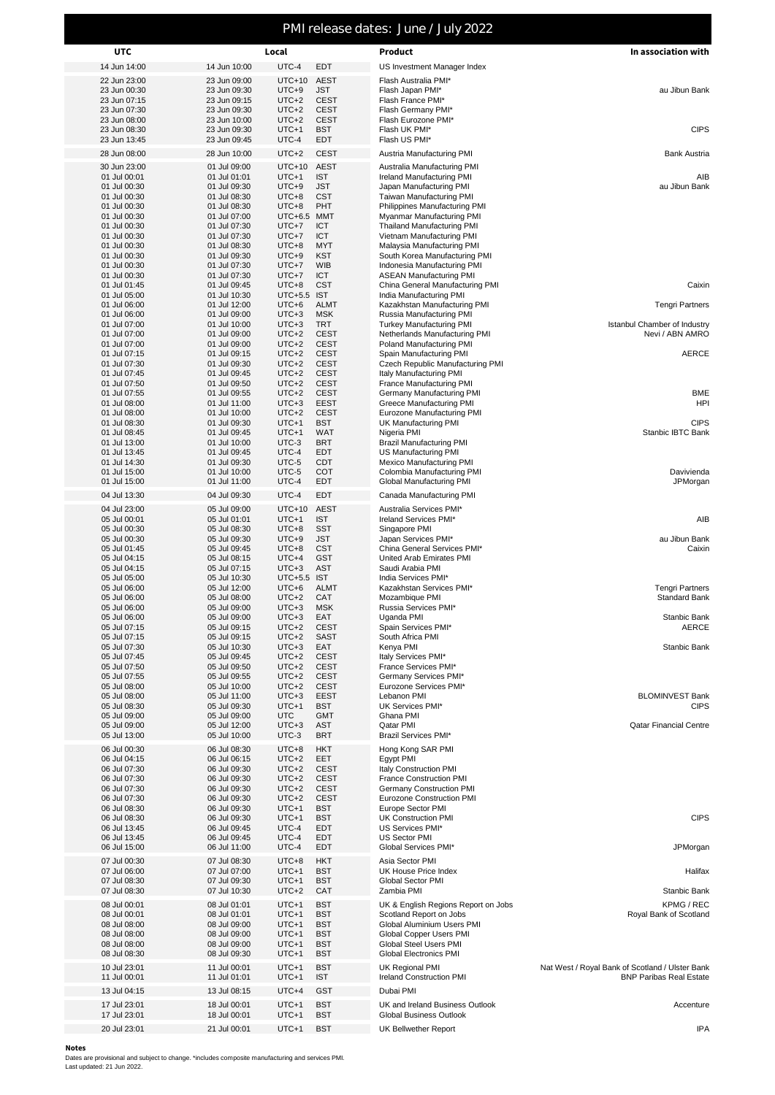## PMI release dates: June / July 2022

| <b>UTC</b>                   | Local                        |                        |                            | Product                                                        | In association with                             |  |  |
|------------------------------|------------------------------|------------------------|----------------------------|----------------------------------------------------------------|-------------------------------------------------|--|--|
| 14 Jun 14:00                 | 14 Jun 10:00                 | UTC-4                  | <b>EDT</b>                 | US Investment Manager Index                                    |                                                 |  |  |
| 22 Jun 23:00                 | 23 Jun 09:00                 | $UTC+10$               | <b>AEST</b>                | Flash Australia PMI*                                           |                                                 |  |  |
| 23 Jun 00:30<br>23 Jun 07:15 | 23 Jun 09:30<br>23 Jun 09:15 | $UTC+9$<br>$UTC+2$     | <b>JST</b><br><b>CEST</b>  | Flash Japan PMI*<br>Flash France PMI*                          | au Jibun Bank                                   |  |  |
| 23 Jun 07:30                 | 23 Jun 09:30                 | $UTC+2$                | <b>CEST</b>                | Flash Germany PMI*                                             |                                                 |  |  |
| 23 Jun 08:00                 | 23 Jun 10:00                 | $UTC+2$                | <b>CEST</b>                | Flash Eurozone PMI*                                            |                                                 |  |  |
| 23 Jun 08:30<br>23 Jun 13:45 | 23 Jun 09:30<br>23 Jun 09:45 | $UTC+1$<br>UTC-4       | <b>BST</b><br>EDT          | Flash UK PMI*<br>Flash US PMI*                                 | <b>CIPS</b>                                     |  |  |
|                              |                              | $UTC+2$                | <b>CEST</b>                |                                                                | <b>Bank Austria</b>                             |  |  |
| 28 Jun 08:00                 | 28 Jun 10:00                 |                        |                            | Austria Manufacturing PMI                                      |                                                 |  |  |
| 30 Jun 23:00<br>01 Jul 00:01 | 01 Jul 09:00<br>01 Jul 01:01 | $UTC+10$<br>$UTC+1$    | <b>AEST</b><br><b>IST</b>  | Australia Manufacturing PMI<br>Ireland Manufacturing PMI       | AIB                                             |  |  |
| 01 Jul 00:30                 | 01 Jul 09:30                 | $UTC+9$                | <b>JST</b>                 | Japan Manufacturing PMI                                        | au Jibun Bank                                   |  |  |
| 01 Jul 00:30                 | 01 Jul 08:30                 | $UTC+8$                | <b>CST</b>                 | Taiwan Manufacturing PMI                                       |                                                 |  |  |
| 01 Jul 00:30                 | 01 Jul 08:30                 | $UTC+8$                | PHT                        | Philippines Manufacturing PMI                                  |                                                 |  |  |
| 01 Jul 00:30<br>01 Jul 00:30 | 01 Jul 07:00<br>01 Jul 07:30 | UTC+6.5 MMT<br>$UTC+7$ | ICT                        | Myanmar Manufacturing PMI<br><b>Thailand Manufacturing PMI</b> |                                                 |  |  |
| 01 Jul 00:30                 | 01 Jul 07:30                 | $UTC+7$                | ICT                        | Vietnam Manufacturing PMI                                      |                                                 |  |  |
| 01 Jul 00:30                 | 01 Jul 08:30                 | $UTC+8$                | <b>MYT</b>                 | Malaysia Manufacturing PMI                                     |                                                 |  |  |
| 01 Jul 00:30                 | 01 Jul 09:30                 | $UTC+9$                | KST                        | South Korea Manufacturing PMI                                  |                                                 |  |  |
| 01 Jul 00:30<br>01 Jul 00:30 | 01 Jul 07:30<br>01 Jul 07:30 | $UTC+7$<br>$UTC+7$     | <b>WIB</b><br><b>ICT</b>   | Indonesia Manufacturing PMI<br><b>ASEAN Manufacturing PMI</b>  |                                                 |  |  |
| 01 Jul 01:45                 | 01 Jul 09:45                 | $UTC+8$                | <b>CST</b>                 | China General Manufacturing PMI                                | Caixin                                          |  |  |
| 01 Jul 05:00                 | 01 Jul 10:30                 | UTC+5.5 IST            |                            | India Manufacturing PMI                                        |                                                 |  |  |
| 01 Jul 06:00<br>01 Jul 06:00 | 01 Jul 12:00<br>01 Jul 09:00 | $UTC+6$<br>$UTC+3$     | <b>ALMT</b><br><b>MSK</b>  | Kazakhstan Manufacturing PMI<br>Russia Manufacturing PMI       | <b>Tengri Partners</b>                          |  |  |
| 01 Jul 07:00                 | 01 Jul 10:00                 | $UTC+3$                | <b>TRT</b>                 | <b>Turkey Manufacturing PMI</b>                                | Istanbul Chamber of Industry                    |  |  |
| 01 Jul 07:00                 | 01 Jul 09:00                 | $UTC+2$                | <b>CEST</b>                | Netherlands Manufacturing PMI                                  | Nevi / ABN AMRO                                 |  |  |
| 01 Jul 07:00                 | 01 Jul 09:00                 | $UTC+2$                | <b>CEST</b>                | Poland Manufacturing PMI                                       |                                                 |  |  |
| 01 Jul 07:15<br>01 Jul 07:30 | 01 Jul 09:15<br>01 Jul 09:30 | $UTC+2$<br>$UTC+2$     | <b>CEST</b><br><b>CEST</b> | Spain Manufacturing PMI<br>Czech Republic Manufacturing PMI    | <b>AERCE</b>                                    |  |  |
| 01 Jul 07:45                 | 01 Jul 09:45                 | $UTC+2$                | <b>CEST</b>                | Italy Manufacturing PMI                                        |                                                 |  |  |
| 01 Jul 07:50                 | 01 Jul 09:50                 | $UTC+2$                | <b>CEST</b>                | France Manufacturing PMI                                       |                                                 |  |  |
| 01 Jul 07:55                 | 01 Jul 09:55                 | $UTC+2$                | <b>CEST</b>                | Germany Manufacturing PMI                                      | <b>BME</b>                                      |  |  |
| 01 Jul 08:00<br>01 Jul 08:00 | 01 Jul 11:00<br>01 Jul 10:00 | $UTC+3$<br>$UTC+2$     | EEST<br><b>CEST</b>        | Greece Manufacturing PMI<br>Eurozone Manufacturing PMI         | HPI                                             |  |  |
| 01 Jul 08:30                 | 01 Jul 09:30                 | $UTC+1$                | <b>BST</b>                 | UK Manufacturing PMI                                           | <b>CIPS</b>                                     |  |  |
| 01 Jul 08:45                 | 01 Jul 09:45                 | $UTC+1$                | WAT                        | Nigeria PMI                                                    | Stanbic IBTC Bank                               |  |  |
| 01 Jul 13:00<br>01 Jul 13:45 | 01 Jul 10:00<br>01 Jul 09:45 | UTC-3<br>UTC-4         | <b>BRT</b><br><b>EDT</b>   | <b>Brazil Manufacturing PMI</b><br>US Manufacturing PMI        |                                                 |  |  |
| 01 Jul 14:30                 | 01 Jul 09:30                 | UTC-5                  | CDT                        | <b>Mexico Manufacturing PMI</b>                                |                                                 |  |  |
| 01 Jul 15:00                 | 01 Jul 10:00                 | UTC-5                  | COT                        | Colombia Manufacturing PMI                                     | Davivienda                                      |  |  |
| 01 Jul 15:00                 | 01 Jul 11:00                 | UTC-4                  | <b>EDT</b>                 | Global Manufacturing PMI                                       | JPMorgan                                        |  |  |
| 04 Jul 13:30                 | 04 Jul 09:30                 | UTC-4                  | EDT                        | Canada Manufacturing PMI                                       |                                                 |  |  |
| 04 Jul 23:00                 | 05 Jul 09:00                 | $UTC+10$               | <b>AEST</b>                | Australia Services PMI*                                        |                                                 |  |  |
| 05 Jul 00:01<br>05 Jul 00:30 | 05 Jul 01:01<br>05 Jul 08:30 | $UTC+1$<br>$UTC+8$     | <b>IST</b><br><b>SST</b>   | Ireland Services PMI*<br>Singapore PMI                         | AIB                                             |  |  |
| 05 Jul 00:30                 | 05 Jul 09:30                 | $UTC+9$                | <b>JST</b>                 | Japan Services PMI*                                            | au Jibun Bank                                   |  |  |
| 05 Jul 01:45                 | 05 Jul 09:45                 | $UTC+8$                | <b>CST</b>                 | China General Services PMI*                                    | Caixin                                          |  |  |
| 05 Jul 04:15<br>05 Jul 04:15 | 05 Jul 08:15                 | $UTC+4$                | <b>GST</b>                 | United Arab Emirates PMI<br>Saudi Arabia PMI                   |                                                 |  |  |
| 05 Jul 05:00                 | 05 Jul 07:15<br>05 Jul 10:30 | $UTC+3$<br>UTC+5.5 IST | <b>AST</b>                 | India Services PMI*                                            |                                                 |  |  |
| 05 Jul 06:00                 | 05 Jul 12:00                 | $UTC+6$                | <b>ALMT</b>                | Kazakhstan Services PMI*                                       | <b>Tengri Partners</b>                          |  |  |
| 05 Jul 06:00                 | 05 Jul 08:00                 | $UTC+2$                | CAT                        | Mozambique PMI                                                 | Standard Bank                                   |  |  |
| 05 Jul 06:00<br>05 Jul 06:00 | 05 Jul 09:00<br>05 Jul 09:00 | $UTC+3$<br>$UTC+3$     | <b>MSK</b><br>EAT          | Russia Services PMI*<br>Uganda PMI                             | Stanbic Bank                                    |  |  |
| 05 Jul 07:15                 | 05 Jul 09:15                 | $UTC+2$                | <b>CEST</b>                | Spain Services PMI*                                            | AERCE                                           |  |  |
| 05 Jul 07:15                 | 05 Jul 09:15                 | $UTC+2$                | SAST                       | South Africa PMI                                               |                                                 |  |  |
| 05 Jul 07:30                 | 05 Jul 10:30                 | $UTC+3$<br>$UTC+2$     | EAT<br><b>CEST</b>         | Kenya PMI<br>Italy Services PMI*                               | Stanbic Bank                                    |  |  |
| 05 Jul 07:45<br>05 Jul 07:50 | 05 Jul 09:45<br>05 Jul 09:50 | $UTC+2$                | <b>CEST</b>                | France Services PMI*                                           |                                                 |  |  |
| 05 Jul 07:55                 | 05 Jul 09:55                 | $UTC+2$                | <b>CEST</b>                | Germany Services PMI*                                          |                                                 |  |  |
| 05 Jul 08:00                 | 05 Jul 10:00                 | $UTC+2$                | <b>CEST</b>                | Eurozone Services PMI*                                         |                                                 |  |  |
| 05 Jul 08:00<br>05 Jul 08:30 | 05 Jul 11:00<br>05 Jul 09:30 | $UTC+3$<br>$UTC+1$     | <b>EEST</b><br><b>BST</b>  | Lebanon PMI<br>UK Services PMI*                                | <b>BLOMINVEST Bank</b><br><b>CIPS</b>           |  |  |
| 05 Jul 09:00                 | 05 Jul 09:00                 | <b>UTC</b>             | <b>GMT</b>                 | Ghana PMI                                                      |                                                 |  |  |
| 05 Jul 09:00                 | 05 Jul 12:00                 | $UTC+3$                | AST                        | Qatar PMI                                                      | <b>Qatar Financial Centre</b>                   |  |  |
| 05 Jul 13:00                 | 05 Jul 10:00                 | UTC-3                  | <b>BRT</b>                 | Brazil Services PMI*                                           |                                                 |  |  |
| 06 Jul 00:30                 | 06 Jul 08:30                 | $UTC+8$                | <b>HKT</b>                 | Hong Kong SAR PMI                                              |                                                 |  |  |
| 06 Jul 04:15<br>06 Jul 07:30 | 06 Jul 06:15<br>06 Jul 09:30 | $UTC+2$<br>$UTC+2$     | EET<br><b>CEST</b>         | Egypt PMI<br><b>Italy Construction PMI</b>                     |                                                 |  |  |
| 06 Jul 07:30                 | 06 Jul 09:30                 | $UTC+2$                | <b>CEST</b>                | France Construction PMI                                        |                                                 |  |  |
| 06 Jul 07:30                 | 06 Jul 09:30                 | $UTC+2$                | <b>CEST</b>                | Germany Construction PMI                                       |                                                 |  |  |
| 06 Jul 07:30<br>06 Jul 08:30 | 06 Jul 09:30<br>06 Jul 09:30 | $UTC+2$<br>$UTC+1$     | <b>CEST</b><br><b>BST</b>  | Eurozone Construction PMI<br>Europe Sector PMI                 |                                                 |  |  |
| 06 Jul 08:30                 | 06 Jul 09:30                 | $UTC+1$                | <b>BST</b>                 | UK Construction PMI                                            | <b>CIPS</b>                                     |  |  |
| 06 Jul 13:45                 | 06 Jul 09:45                 | UTC-4                  | EDT                        | US Services PMI*                                               |                                                 |  |  |
| 06 Jul 13:45                 | 06 Jul 09:45                 | UTC-4                  | EDT                        | US Sector PMI                                                  |                                                 |  |  |
| 06 Jul 15:00                 | 06 Jul 11:00                 | UTC-4                  | EDT                        | Global Services PMI*                                           | JPMorgan                                        |  |  |
| 07 Jul 00:30<br>07 Jul 06:00 | 07 Jul 08:30<br>07 Jul 07:00 | $UTC+8$<br>$UTC+1$     | <b>HKT</b><br><b>BST</b>   | Asia Sector PMI<br>UK House Price Index                        | Halifax                                         |  |  |
| 07 Jul 08:30                 | 07 Jul 09:30                 | $UTC+1$                | <b>BST</b>                 | Global Sector PMI                                              |                                                 |  |  |
| 07 Jul 08:30                 | 07 Jul 10:30                 | $UTC+2$                | CAT                        | Zambia PMI                                                     | Stanbic Bank                                    |  |  |
| 08 Jul 00:01                 | 08 Jul 01:01                 | $UTC+1$                | <b>BST</b>                 | UK & English Regions Report on Jobs                            | KPMG / REC                                      |  |  |
| 08 Jul 00:01                 | 08 Jul 01:01                 | $UTC+1$                | <b>BST</b>                 | Scotland Report on Jobs                                        | Royal Bank of Scotland                          |  |  |
| 08 Jul 08:00<br>08 Jul 08:00 | 08 Jul 09:00<br>08 Jul 09:00 | $UTC+1$<br>UTC+1       | <b>BST</b><br><b>BST</b>   | Global Aluminium Users PMI<br>Global Copper Users PMI          |                                                 |  |  |
| 08 Jul 08:00                 | 08 Jul 09:00                 | $UTC+1$                | <b>BST</b>                 | Global Steel Users PMI                                         |                                                 |  |  |
| 08 Jul 08:30                 | 08 Jul 09:30                 | $UTC+1$                | <b>BST</b>                 | Global Electronics PMI                                         |                                                 |  |  |
| 10 Jul 23:01                 | 11 Jul 00:01                 | $UTC+1$                | <b>BST</b>                 | UK Regional PMI                                                | Nat West / Royal Bank of Scotland / Ulster Bank |  |  |
| 11 Jul 00:01                 | 11 Jul 01:01                 | $UTC+1$                | <b>IST</b>                 | Ireland Construction PMI                                       | <b>BNP Paribas Real Estate</b>                  |  |  |
| 13 Jul 04:15                 | 13 Jul 08:15                 | $UTC+4$                | <b>GST</b>                 | Dubai PMI                                                      |                                                 |  |  |
| 17 Jul 23:01<br>17 Jul 23:01 | 18 Jul 00:01<br>18 Jul 00:01 | $UTC+1$<br>$UTC+1$     | <b>BST</b><br><b>BST</b>   | UK and Ireland Business Outlook<br>Global Business Outlook     | Accenture                                       |  |  |
| 20 Jul 23:01                 | 21 Jul 00:01                 | $UTC+1$                | <b>BST</b>                 | UK Bellwether Report                                           | IPA                                             |  |  |
|                              |                              |                        |                            |                                                                |                                                 |  |  |

**Notes** Dates are provisional and subject to change. \*includes composite manufacturing and services PMI. Last updated: 21 Jun 2022.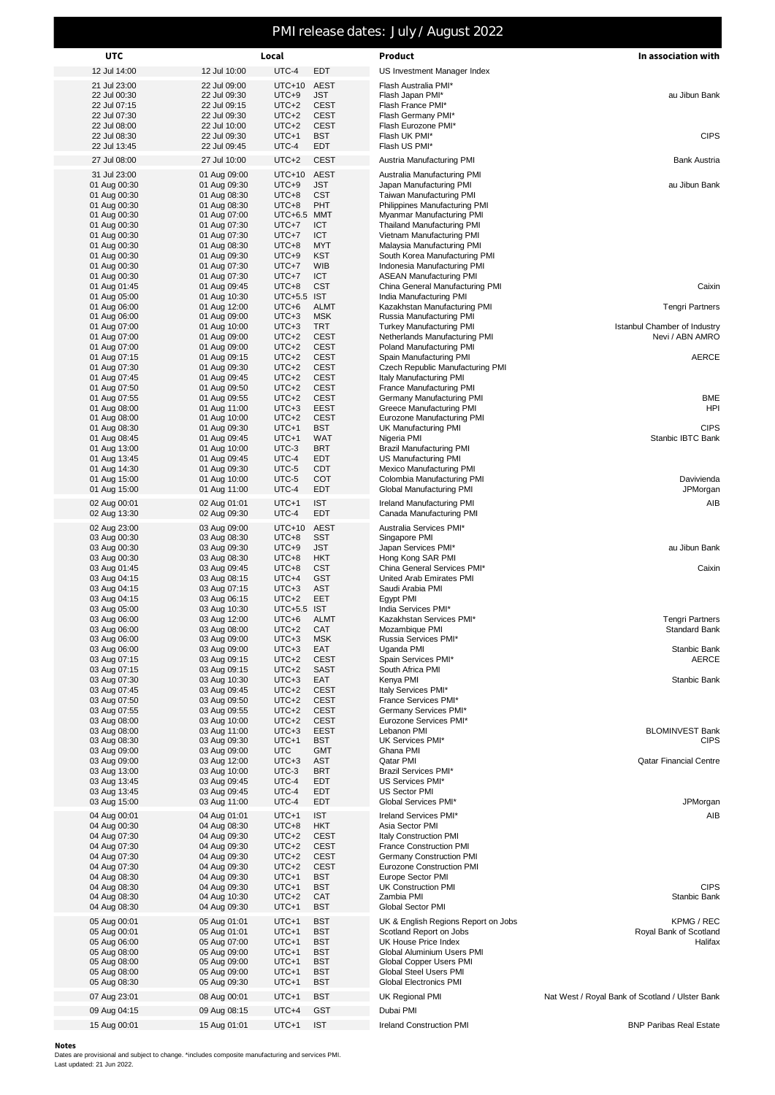## PMI release dates: July / August 2022

| <b>UTC</b>                   |                              | Local                  |                            | Product                                                         | In association with                             |  |  |
|------------------------------|------------------------------|------------------------|----------------------------|-----------------------------------------------------------------|-------------------------------------------------|--|--|
| 12 Jul 14:00                 | 12 Jul 10:00                 | UTC-4                  | EDT                        | US Investment Manager Index                                     |                                                 |  |  |
| 21 Jul 23:00                 | 22 Jul 09:00                 | $UTC+10$               | <b>AEST</b>                | Flash Australia PMI*                                            |                                                 |  |  |
| 22 Jul 00:30<br>22 Jul 07:15 | 22 Jul 09:30<br>22 Jul 09:15 | $UTC+9$<br>$UTC+2$     | <b>JST</b><br><b>CEST</b>  | Flash Japan PMI*<br>Flash France PMI*                           | au Jibun Bank                                   |  |  |
| 22 Jul 07:30                 | 22 Jul 09:30                 | $UTC+2$                | <b>CEST</b>                | Flash Germany PMI*                                              |                                                 |  |  |
| 22 Jul 08:00                 | 22 Jul 10:00                 | $UTC+2$                | <b>CEST</b>                | Flash Eurozone PMI*                                             |                                                 |  |  |
| 22 Jul 08:30<br>22 Jul 13:45 | 22 Jul 09:30<br>22 Jul 09:45 | UTC+1<br>UTC-4         | <b>BST</b><br>EDT          | Flash UK PMI*<br>Flash US PMI*                                  | <b>CIPS</b>                                     |  |  |
| 27 Jul 08:00                 | 27 Jul 10:00                 | $UTC+2$                | <b>CEST</b>                | Austria Manufacturing PMI                                       | <b>Bank Austria</b>                             |  |  |
| 31 Jul 23:00                 | 01 Aug 09:00                 | $UTC+10$               | <b>AEST</b>                |                                                                 |                                                 |  |  |
| 01 Aug 00:30                 | 01 Aug 09:30                 | $UTC+9$                | <b>JST</b>                 | Australia Manufacturing PMI<br>Japan Manufacturing PMI          | au Jibun Bank                                   |  |  |
| 01 Aug 00:30                 | 01 Aug 08:30                 | $UTC+8$                | <b>CST</b>                 | Taiwan Manufacturing PMI                                        |                                                 |  |  |
| 01 Aug 00:30                 | 01 Aug 08:30                 | $UTC+8$                | PHT                        | Philippines Manufacturing PMI                                   |                                                 |  |  |
| 01 Aug 00:30<br>01 Aug 00:30 | 01 Aug 07:00<br>01 Aug 07:30 | UTC+6.5 MMT<br>UTC+7   | ICT                        | Myanmar Manufacturing PMI<br>Thailand Manufacturing PMI         |                                                 |  |  |
| 01 Aug 00:30                 | 01 Aug 07:30                 | UTC+7                  | ICT                        | Vietnam Manufacturing PMI                                       |                                                 |  |  |
| 01 Aug 00:30                 | 01 Aug 08:30                 | $UTC+8$                | <b>MYT</b>                 | Malaysia Manufacturing PMI                                      |                                                 |  |  |
| 01 Aug 00:30<br>01 Aug 00:30 | 01 Aug 09:30<br>01 Aug 07:30 | UTC+9<br>UTC+7         | KST<br><b>WIB</b>          | South Korea Manufacturing PMI<br>Indonesia Manufacturing PMI    |                                                 |  |  |
| 01 Aug 00:30                 | 01 Aug 07:30                 | UTC+7                  | ICT                        | <b>ASEAN Manufacturing PMI</b>                                  |                                                 |  |  |
| 01 Aug 01:45                 | 01 Aug 09:45                 | $UTC+8$                | <b>CST</b>                 | China General Manufacturing PMI                                 | Caixin                                          |  |  |
| 01 Aug 05:00                 | 01 Aug 10:30                 | UTC+5.5 IST            |                            | India Manufacturing PMI                                         |                                                 |  |  |
| 01 Aug 06:00<br>01 Aug 06:00 | 01 Aug 12:00<br>01 Aug 09:00 | $UTC+6$<br>$UTC+3$     | <b>ALMT</b><br><b>MSK</b>  | Kazakhstan Manufacturing PMI<br>Russia Manufacturing PMI        | <b>Tengri Partners</b>                          |  |  |
| 01 Aug 07:00                 | 01 Aug 10:00                 | $UTC+3$                | <b>TRT</b>                 | <b>Turkey Manufacturing PMI</b>                                 | Istanbul Chamber of Industry                    |  |  |
| 01 Aug 07:00                 | 01 Aug 09:00                 | $UTC+2$                | <b>CEST</b>                | Netherlands Manufacturing PMI                                   | Nevi / ABN AMRO                                 |  |  |
| 01 Aug 07:00<br>01 Aug 07:15 | 01 Aug 09:00<br>01 Aug 09:15 | $UTC+2$<br>$UTC+2$     | <b>CEST</b><br><b>CEST</b> | Poland Manufacturing PMI<br>Spain Manufacturing PMI             | <b>AERCE</b>                                    |  |  |
| 01 Aug 07:30                 | 01 Aug 09:30                 | $UTC+2$                | <b>CEST</b>                | Czech Republic Manufacturing PMI                                |                                                 |  |  |
| 01 Aug 07:45                 | 01 Aug 09:45                 | $UTC+2$                | <b>CEST</b>                | Italy Manufacturing PMI                                         |                                                 |  |  |
| 01 Aug 07:50                 | 01 Aug 09:50                 | $UTC+2$                | <b>CEST</b>                | France Manufacturing PMI                                        |                                                 |  |  |
| 01 Aug 07:55<br>01 Aug 08:00 | 01 Aug 09:55<br>01 Aug 11:00 | $UTC+2$<br>$UTC+3$     | <b>CEST</b><br>EEST        | Germany Manufacturing PMI<br>Greece Manufacturing PMI           | <b>BME</b><br><b>HPI</b>                        |  |  |
| 01 Aug 08:00                 | 01 Aug 10:00                 | $UTC+2$                | <b>CEST</b>                | Eurozone Manufacturing PMI                                      |                                                 |  |  |
| 01 Aug 08:30                 | 01 Aug 09:30                 | UTC+1                  | <b>BST</b>                 | UK Manufacturing PMI                                            | <b>CIPS</b>                                     |  |  |
| 01 Aug 08:45<br>01 Aug 13:00 | 01 Aug 09:45<br>01 Aug 10:00 | UTC+1<br>UTC-3         | <b>WAT</b><br>BRT          | Nigeria PMI<br><b>Brazil Manufacturing PMI</b>                  | Stanbic IBTC Bank                               |  |  |
| 01 Aug 13:45                 | 01 Aug 09:45                 | UTC-4                  | EDT                        | US Manufacturing PMI                                            |                                                 |  |  |
| 01 Aug 14:30                 | 01 Aug 09:30                 | UTC-5                  | <b>CDT</b>                 | <b>Mexico Manufacturing PMI</b>                                 |                                                 |  |  |
| 01 Aug 15:00                 | 01 Aug 10:00                 | UTC-5<br>UTC-4         | COT<br>EDT                 | Colombia Manufacturing PMI<br>Global Manufacturing PMI          | Davivienda<br>JPMorgan                          |  |  |
| 01 Aug 15:00                 | 01 Aug 11:00                 |                        |                            |                                                                 |                                                 |  |  |
| 02 Aug 00:01<br>02 Aug 13:30 | 02 Aug 01:01<br>02 Aug 09:30 | UTC+1<br>UTC-4         | <b>IST</b><br><b>EDT</b>   | Ireland Manufacturing PMI<br>Canada Manufacturing PMI           | AIB                                             |  |  |
| 02 Aug 23:00                 | 03 Aug 09:00                 | $UTC+10$               | <b>AEST</b>                | Australia Services PMI*                                         |                                                 |  |  |
| 03 Aug 00:30                 | 03 Aug 08:30                 | $UTC+8$                | <b>SST</b>                 | Singapore PMI                                                   |                                                 |  |  |
| 03 Aug 00:30                 | 03 Aug 09:30                 | $UTC+9$                | JST                        | Japan Services PMI*                                             | au Jibun Bank                                   |  |  |
| 03 Aug 00:30<br>03 Aug 01:45 | 03 Aug 08:30<br>03 Aug 09:45 | $UTC+8$<br>$UTC+8$     | HKT<br><b>CST</b>          | Hong Kong SAR PMI<br>China General Services PMI*                | Caixin                                          |  |  |
| 03 Aug 04:15                 | 03 Aug 08:15                 | UTC+4                  | <b>GST</b>                 | United Arab Emirates PMI                                        |                                                 |  |  |
| 03 Aug 04:15                 | 03 Aug 07:15                 | $UTC+3$                | AST                        | Saudi Arabia PMI                                                |                                                 |  |  |
| 03 Aug 04:15                 | 03 Aug 06:15                 | $UTC+2$<br>UTC+5.5 IST | EET                        | Egypt PMI                                                       |                                                 |  |  |
| 03 Aug 05:00<br>03 Aug 06:00 | 03 Aug 10:30<br>03 Aug 12:00 | $UTC+6$                | <b>ALMT</b>                | India Services PMI*<br>Kazakhstan Services PMI*                 | <b>Tengri Partners</b>                          |  |  |
| 03 Aug 06:00                 | 03 Aug 08:00                 | $UTC+2$                | CAT                        | Mozambique PMI                                                  | <b>Standard Bank</b>                            |  |  |
| 03 Aug 06:00                 | 03 Aug 09:00                 | $UTC+3$                | <b>MSK</b>                 | Russia Services PMI*                                            |                                                 |  |  |
| 03 Aug 06:00<br>03 Aug 07:15 | 03 Aug 09:00<br>03 Aug 09:15 | $UTC+3$<br>$UTC+2$     | EAT<br><b>CEST</b>         | Uganda PMI<br>Spain Services PMI*                               | Stanbic Bank<br><b>AERCE</b>                    |  |  |
| 03 Aug 07:15                 | 03 Aug 09:15                 | $UTC+2$                | <b>SAST</b>                | South Africa PMI                                                |                                                 |  |  |
| 03 Aug 07:30                 | 03 Aug 10:30                 | $UTC+3$                | EAT                        | Kenya PMI                                                       | Stanbic Bank                                    |  |  |
| 03 Aug 07:45<br>03 Aug 07:50 | 03 Aug 09:45<br>03 Aug 09:50 | $UTC+2$<br>$UTC+2$     | <b>CEST</b><br><b>CEST</b> | Italy Services PMI*<br>France Services PMI*                     |                                                 |  |  |
| 03 Aug 07:55                 | 03 Aug 09:55                 | $UTC+2$                | <b>CEST</b>                | Germany Services PMI*                                           |                                                 |  |  |
| 03 Aug 08:00                 | 03 Aug 10:00                 | $UTC+2$                | <b>CEST</b>                | Eurozone Services PMI*                                          |                                                 |  |  |
| 03 Aug 08:00<br>03 Aug 08:30 | 03 Aug 11:00<br>03 Aug 09:30 | $UTC+3$<br>UTC+1       | <b>EEST</b><br><b>BST</b>  | Lebanon PMI<br>UK Services PMI*                                 | <b>BLOMINVEST Bank</b><br><b>CIPS</b>           |  |  |
| 03 Aug 09:00                 | 03 Aug 09:00                 | UTC                    | <b>GMT</b>                 | Ghana PMI                                                       |                                                 |  |  |
| 03 Aug 09:00                 | 03 Aug 12:00                 | $UTC+3$                | AST                        | Qatar PMI                                                       | <b>Qatar Financial Centre</b>                   |  |  |
| 03 Aug 13:00                 | 03 Aug 10:00                 | UTC-3                  | <b>BRT</b>                 | <b>Brazil Services PMI*</b>                                     |                                                 |  |  |
| 03 Aug 13:45<br>03 Aug 13:45 | 03 Aug 09:45<br>03 Aug 09:45 | UTC-4<br>UTC-4         | EDT<br>EDT                 | US Services PMI*<br><b>US Sector PMI</b>                        |                                                 |  |  |
| 03 Aug 15:00                 | 03 Aug 11:00                 | UTC-4                  | EDT                        | Global Services PMI*                                            | JPMorgan                                        |  |  |
| 04 Aug 00:01                 | 04 Aug 01:01                 | UTC+1                  | <b>IST</b>                 | Ireland Services PMI*                                           | AIB                                             |  |  |
| 04 Aug 00:30                 | 04 Aug 08:30                 | $UTC+8$                | <b>HKT</b>                 | Asia Sector PMI                                                 |                                                 |  |  |
| 04 Aug 07:30<br>04 Aug 07:30 | 04 Aug 09:30<br>04 Aug 09:30 | $UTC+2$<br>$UTC+2$     | <b>CEST</b><br><b>CEST</b> | <b>Italy Construction PMI</b><br><b>France Construction PMI</b> |                                                 |  |  |
| 04 Aug 07:30                 | 04 Aug 09:30                 | $UTC+2$                | <b>CEST</b>                | <b>Germany Construction PMI</b>                                 |                                                 |  |  |
| 04 Aug 07:30                 | 04 Aug 09:30                 | $UTC+2$                | <b>CEST</b>                | <b>Eurozone Construction PMI</b>                                |                                                 |  |  |
| 04 Aug 08:30<br>04 Aug 08:30 | 04 Aug 09:30<br>04 Aug 09:30 | UTC+1<br>UTC+1         | <b>BST</b><br><b>BST</b>   | Europe Sector PMI<br>UK Construction PMI                        | <b>CIPS</b>                                     |  |  |
| 04 Aug 08:30                 | 04 Aug 10:30                 | $UTC+2$                | CAT                        | Zambia PMI                                                      | Stanbic Bank                                    |  |  |
| 04 Aug 08:30                 | 04 Aug 09:30                 | UTC+1                  | <b>BST</b>                 | Global Sector PMI                                               |                                                 |  |  |
| 05 Aug 00:01                 | 05 Aug 01:01                 | UTC+1                  | <b>BST</b>                 | UK & English Regions Report on Jobs                             | KPMG / REC                                      |  |  |
| 05 Aug 00:01                 | 05 Aug 01:01                 | UTC+1                  | <b>BST</b>                 | Scotland Report on Jobs                                         | Royal Bank of Scotland                          |  |  |
| 05 Aug 06:00<br>05 Aug 08:00 | 05 Aug 07:00<br>05 Aug 09:00 | UTC+1<br>UTC+1         | <b>BST</b><br><b>BST</b>   | UK House Price Index<br>Global Aluminium Users PMI              | Halifax                                         |  |  |
| 05 Aug 08:00                 | 05 Aug 09:00                 | UTC+1                  | <b>BST</b>                 | Global Copper Users PMI                                         |                                                 |  |  |
| 05 Aug 08:00                 | 05 Aug 09:00                 | UTC+1                  | BST                        | Global Steel Users PMI                                          |                                                 |  |  |
| 05 Aug 08:30                 | 05 Aug 09:30                 | UTC+1                  | <b>BST</b>                 | <b>Global Electronics PMI</b>                                   |                                                 |  |  |
| 07 Aug 23:01                 | 08 Aug 00:01                 | UTC+1                  | <b>BST</b>                 | UK Regional PMI                                                 | Nat West / Royal Bank of Scotland / Ulster Bank |  |  |
| 09 Aug 04:15                 | 09 Aug 08:15                 | UTC+4                  | GST                        | Dubai PMI                                                       |                                                 |  |  |
| 15 Aug 00:01                 | 15 Aug 01:01                 | UTC+1                  | <b>IST</b>                 | <b>Ireland Construction PMI</b>                                 | <b>BNP Paribas Real Estate</b>                  |  |  |

**Notes**

Dates are provisional and subject to change. \*includes composite manufacturing and services PMI. Last updated: 21 Jun 2022.